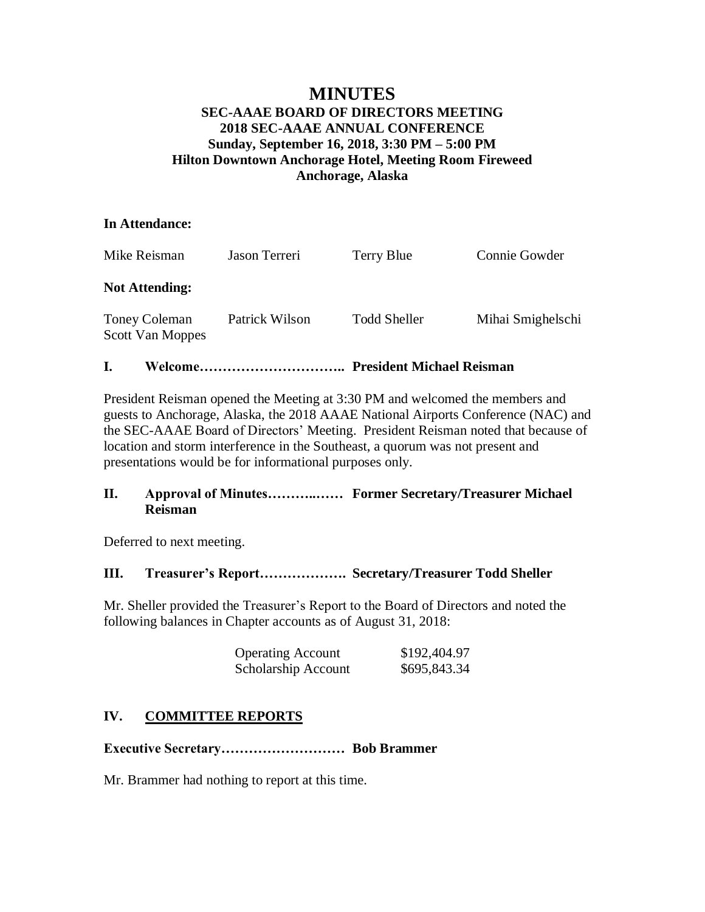# **MINUTES**

## **SEC-AAAE BOARD OF DIRECTORS MEETING 2018 SEC-AAAE ANNUAL CONFERENCE Sunday, September 16, 2018, 3:30 PM – 5:00 PM Hilton Downtown Anchorage Hotel, Meeting Room Fireweed Anchorage, Alaska**

## **In Attendance:**

| Mike Reisman                                    | Jason Terreri  | Terry Blue          | Connie Gowder     |
|-------------------------------------------------|----------------|---------------------|-------------------|
| <b>Not Attending:</b>                           |                |                     |                   |
| <b>Toney Coleman</b><br><b>Scott Van Moppes</b> | Patrick Wilson | <b>Todd Sheller</b> | Mihai Smighelschi |

## **I. Welcome………………………….. President Michael Reisman**

President Reisman opened the Meeting at 3:30 PM and welcomed the members and guests to Anchorage, Alaska, the 2018 AAAE National Airports Conference (NAC) and the SEC-AAAE Board of Directors' Meeting. President Reisman noted that because of location and storm interference in the Southeast, a quorum was not present and presentations would be for informational purposes only.

## **II. Approval of Minutes………..…… Former Secretary/Treasurer Michael Reisman**

Deferred to next meeting.

## **III. Treasurer's Report………………. Secretary/Treasurer Todd Sheller**

Mr. Sheller provided the Treasurer's Report to the Board of Directors and noted the following balances in Chapter accounts as of August 31, 2018:

| <b>Operating Account</b> | \$192,404.97 |
|--------------------------|--------------|
| Scholarship Account      | \$695,843.34 |

## **IV. COMMITTEE REPORTS**

**Executive Secretary……………………… Bob Brammer**

Mr. Brammer had nothing to report at this time.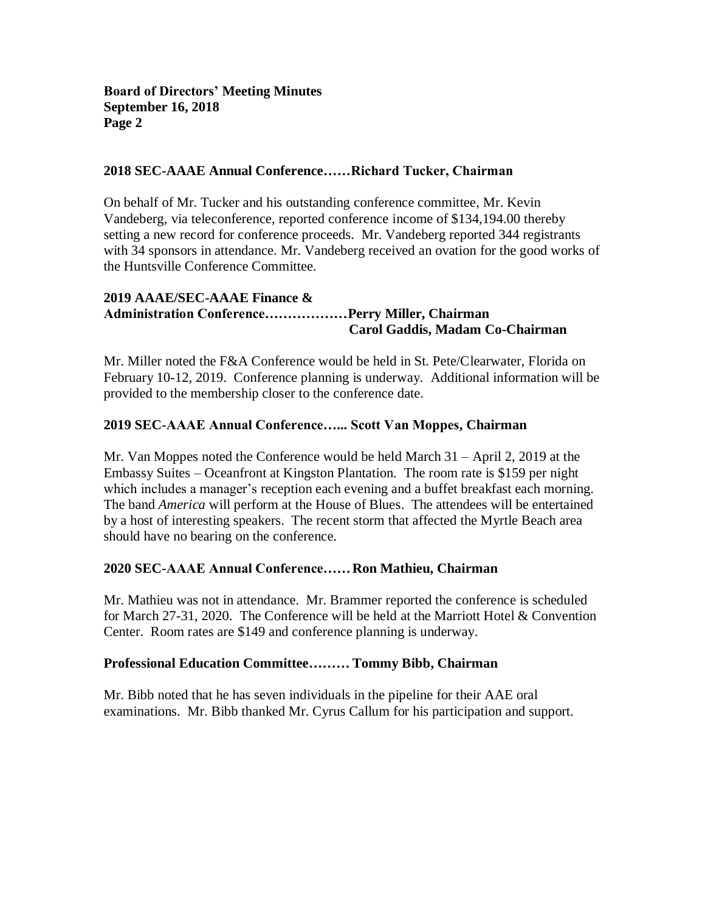#### **2018 SEC-AAAE Annual Conference……Richard Tucker, Chairman**

On behalf of Mr. Tucker and his outstanding conference committee, Mr. Kevin Vandeberg, via teleconference, reported conference income of \$134,194.00 thereby setting a new record for conference proceeds. Mr. Vandeberg reported 344 registrants with 34 sponsors in attendance. Mr. Vandeberg received an ovation for the good works of the Huntsville Conference Committee.

## **2019 AAAE/SEC-AAAE Finance & Administration Conference………………Perry Miller, Chairman Carol Gaddis, Madam Co-Chairman**

Mr. Miller noted the F&A Conference would be held in St. Pete/Clearwater, Florida on February 10-12, 2019. Conference planning is underway. Additional information will be provided to the membership closer to the conference date.

## **2019 SEC-AAAE Annual Conference…... Scott Van Moppes, Chairman**

Mr. Van Moppes noted the Conference would be held March 31 – April 2, 2019 at the Embassy Suites – Oceanfront at Kingston Plantation. The room rate is \$159 per night which includes a manager's reception each evening and a buffet breakfast each morning. The band *America* will perform at the House of Blues. The attendees will be entertained by a host of interesting speakers. The recent storm that affected the Myrtle Beach area should have no bearing on the conference.

## **2020 SEC-AAAE Annual Conference……Ron Mathieu, Chairman**

Mr. Mathieu was not in attendance. Mr. Brammer reported the conference is scheduled for March 27-31, 2020. The Conference will be held at the Marriott Hotel & Convention Center. Room rates are \$149 and conference planning is underway.

#### **Professional Education Committee……… Tommy Bibb, Chairman**

Mr. Bibb noted that he has seven individuals in the pipeline for their AAE oral examinations. Mr. Bibb thanked Mr. Cyrus Callum for his participation and support.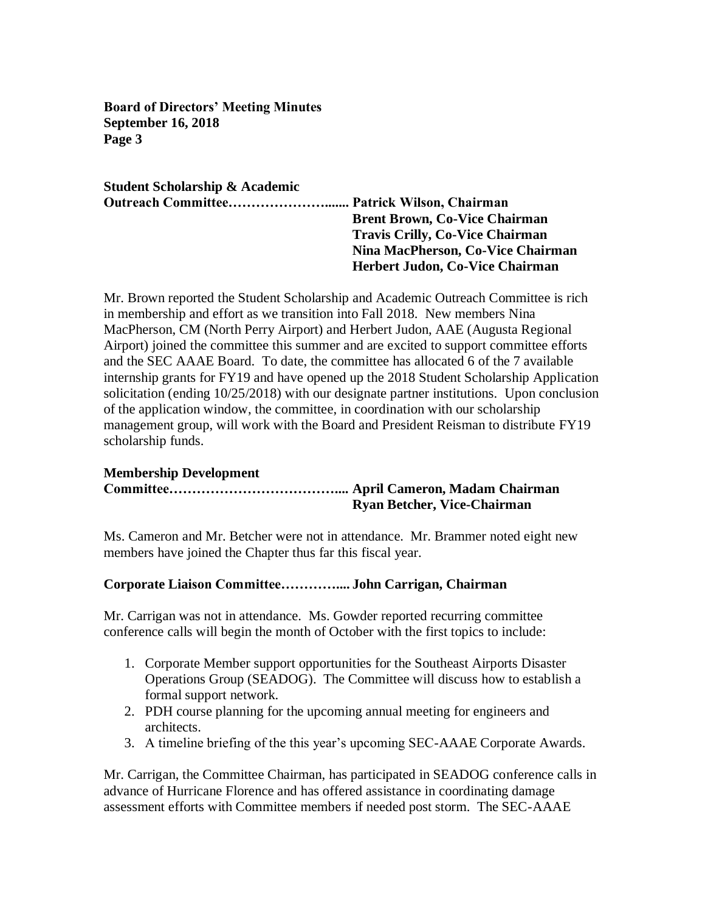**Student Scholarship & Academic Outreach Committee…………………....... Patrick Wilson, Chairman Brent Brown, Co-Vice Chairman Travis Crilly, Co-Vice Chairman Nina MacPherson, Co-Vice Chairman Herbert Judon, Co-Vice Chairman**

Mr. Brown reported the Student Scholarship and Academic Outreach Committee is rich in membership and effort as we transition into Fall 2018. New members Nina MacPherson, CM (North Perry Airport) and Herbert Judon, AAE (Augusta Regional Airport) joined the committee this summer and are excited to support committee efforts and the SEC AAAE Board. To date, the committee has allocated 6 of the 7 available internship grants for FY19 and have opened up the 2018 Student Scholarship Application solicitation (ending 10/25/2018) with our designate partner institutions. Upon conclusion of the application window, the committee, in coordination with our scholarship management group, will work with the Board and President Reisman to distribute FY19 scholarship funds.

## **Membership Development**

## **Committee……………………………….... April Cameron, Madam Chairman Ryan Betcher, Vice-Chairman**

Ms. Cameron and Mr. Betcher were not in attendance. Mr. Brammer noted eight new members have joined the Chapter thus far this fiscal year.

## **Corporate Liaison Committee………….... John Carrigan, Chairman**

Mr. Carrigan was not in attendance. Ms. Gowder reported recurring committee conference calls will begin the month of October with the first topics to include:

- 1. Corporate Member support opportunities for the Southeast Airports Disaster Operations Group (SEADOG). The Committee will discuss how to establish a formal support network.
- 2. PDH course planning for the upcoming annual meeting for engineers and architects.
- 3. A timeline briefing of the this year's upcoming SEC-AAAE Corporate Awards.

Mr. Carrigan, the Committee Chairman, has participated in SEADOG conference calls in advance of Hurricane Florence and has offered assistance in coordinating damage assessment efforts with Committee members if needed post storm. The SEC-AAAE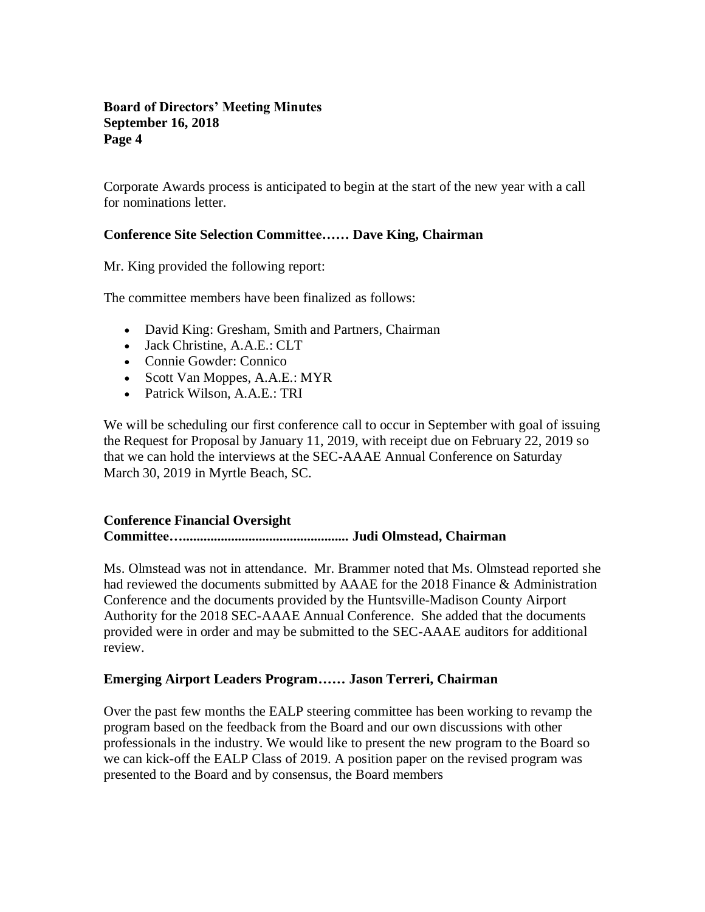Corporate Awards process is anticipated to begin at the start of the new year with a call for nominations letter.

## **Conference Site Selection Committee…… Dave King, Chairman**

Mr. King provided the following report:

The committee members have been finalized as follows:

- David King: Gresham, Smith and Partners, Chairman
- Jack Christine, A.A.E.: CLT
- Connie Gowder: Connico
- Scott Van Moppes, A.A.E.: MYR
- Patrick Wilson, A.A.E.: TRI

We will be scheduling our first conference call to occur in September with goal of issuing the Request for Proposal by January 11, 2019, with receipt due on February 22, 2019 so that we can hold the interviews at the SEC-AAAE Annual Conference on Saturday March 30, 2019 in Myrtle Beach, SC.

## **Conference Financial Oversight**

## **Committee…................................................ Judi Olmstead, Chairman**

Ms. Olmstead was not in attendance. Mr. Brammer noted that Ms. Olmstead reported she had reviewed the documents submitted by AAAE for the 2018 Finance & Administration Conference and the documents provided by the Huntsville-Madison County Airport Authority for the 2018 SEC-AAAE Annual Conference. She added that the documents provided were in order and may be submitted to the SEC-AAAE auditors for additional review.

## **Emerging Airport Leaders Program…… Jason Terreri, Chairman**

Over the past few months the EALP steering committee has been working to revamp the program based on the feedback from the Board and our own discussions with other professionals in the industry. We would like to present the new program to the Board so we can kick-off the EALP Class of 2019. A position paper on the revised program was presented to the Board and by consensus, the Board members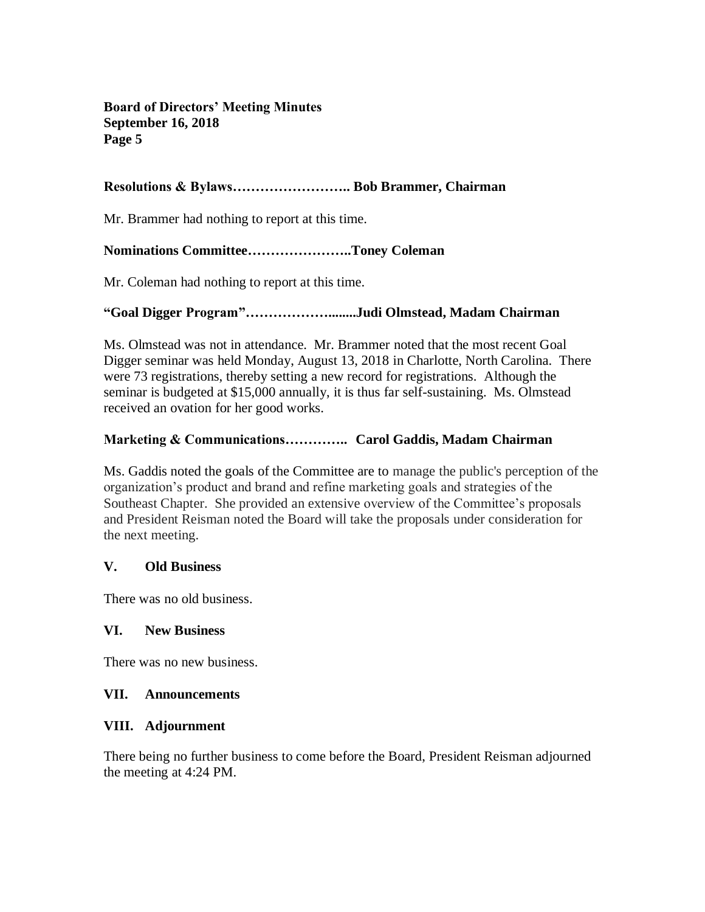## **Resolutions & Bylaws…………………….. Bob Brammer, Chairman**

Mr. Brammer had nothing to report at this time.

## **Nominations Committee…………………..Toney Coleman**

Mr. Coleman had nothing to report at this time.

## **"Goal Digger Program"………………........Judi Olmstead, Madam Chairman**

Ms. Olmstead was not in attendance. Mr. Brammer noted that the most recent Goal Digger seminar was held Monday, August 13, 2018 in Charlotte, North Carolina. There were 73 registrations, thereby setting a new record for registrations. Although the seminar is budgeted at \$15,000 annually, it is thus far self-sustaining. Ms. Olmstead received an ovation for her good works.

## **Marketing & Communications………….. Carol Gaddis, Madam Chairman**

Ms. Gaddis noted the goals of the Committee are to manage the public's perception of the organization's product and brand and refine marketing goals and strategies of the Southeast Chapter. She provided an extensive overview of the Committee's proposals and President Reisman noted the Board will take the proposals under consideration for the next meeting.

## **V. Old Business**

There was no old business.

## **VI. New Business**

There was no new business.

## **VII. Announcements**

## **VIII. Adjournment**

There being no further business to come before the Board, President Reisman adjourned the meeting at 4:24 PM.